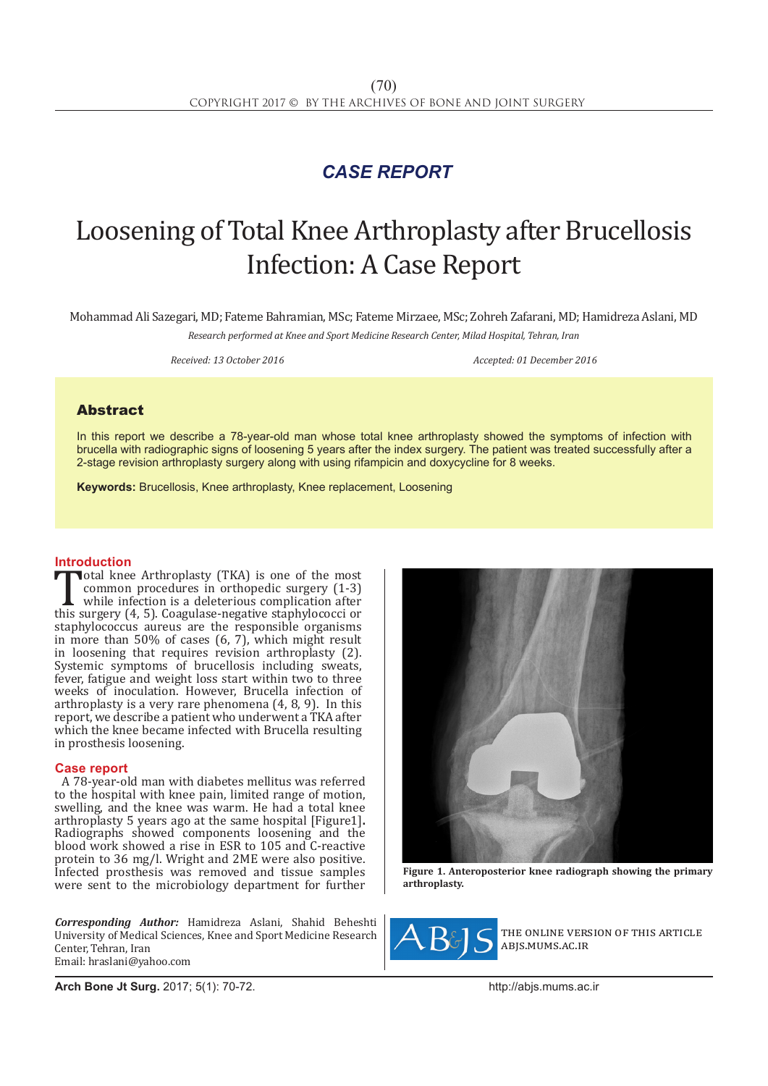## *CASE REPORT*

# Loosening of Total Knee Arthroplasty after Brucellosis Infection: A Case Report

Mohammad Ali Sazegari, MD; Fateme Bahramian, MSc; Fateme Mirzaee, MSc; Zohreh Zafarani, MD; Hamidreza Aslani, MD

*Research performed at Knee and Sport Medicine Research Center, Milad Hospital, Tehran, Iran*

*Received: 13 October 2016 Accepted: 01 December 2016*

### Abstract

In this report we describe a 78-year-old man whose total knee arthroplasty showed the symptoms of infection with brucella with radiographic signs of loosening 5 years after the index surgery. The patient was treated successfully after a 2-stage revision arthroplasty surgery along with using rifampicin and doxycycline for 8 weeks.

**Keywords:** Brucellosis, Knee arthroplasty, Knee replacement, Loosening

**Introduction**<br>**Transformal knee Arthroplasty (TKA)** is one of the most Total knee Arthroplasty (TKA) is one of the most<br>
common procedures in orthopedic surgery (1-3)<br>
while infection is a deleterious complication after<br>
this surgery (4, 5). Coagulase-negative staphylococci or<br>
staphylococcus common procedures in orthopedic surgery (1-3) while infection is a deleterious complication after staphylococcus aureus are the responsible organisms in more than 50% of cases (6, 7), which might result in loosening that requires revision arthroplasty (2). Systemic symptoms of brucellosis including sweats, fever, fatigue and weight loss start within two to three weeks of inoculation. However, Brucella infection of arthroplasty is a very rare phenomena (4, 8, 9). In this report, we describe a patient who underwent a TKA after which the knee became infected with Brucella resulting in prosthesis loosening.

### **Case report**

A 78-year-old man with diabetes mellitus was referred to the hospital with knee pain, limited range of motion, swelling, and the knee was warm. He had a total knee arthroplasty 5 years ago at the same hospital [Figure1]. arthroplasty 5 years ago at the same hospital [Figure1]**.** Radiographs showed components loosening and the blood work showed a rise in ESR to 105 and C-reactive protein to 36 mg/l. Wright and 2ME were also positive. Infected prosthesis was removed and tissue samples were sent to the microbiology department for further

*Corresponding Author:* Hamidreza Aslani, Shahid Beheshti University of Medical Sciences, Knee and Sport Medicine Research Center, Tehran, Iran Email: hraslani@yahoo.com



**Figure 1. Anteroposterior knee radiograph showing the primary arthroplasty.**



the online version of this article abjs.mums.ac.ir

**Arch Bone Jt Surg.** 2017; 5(1): 70-72.http://abjs.mums.ac.ir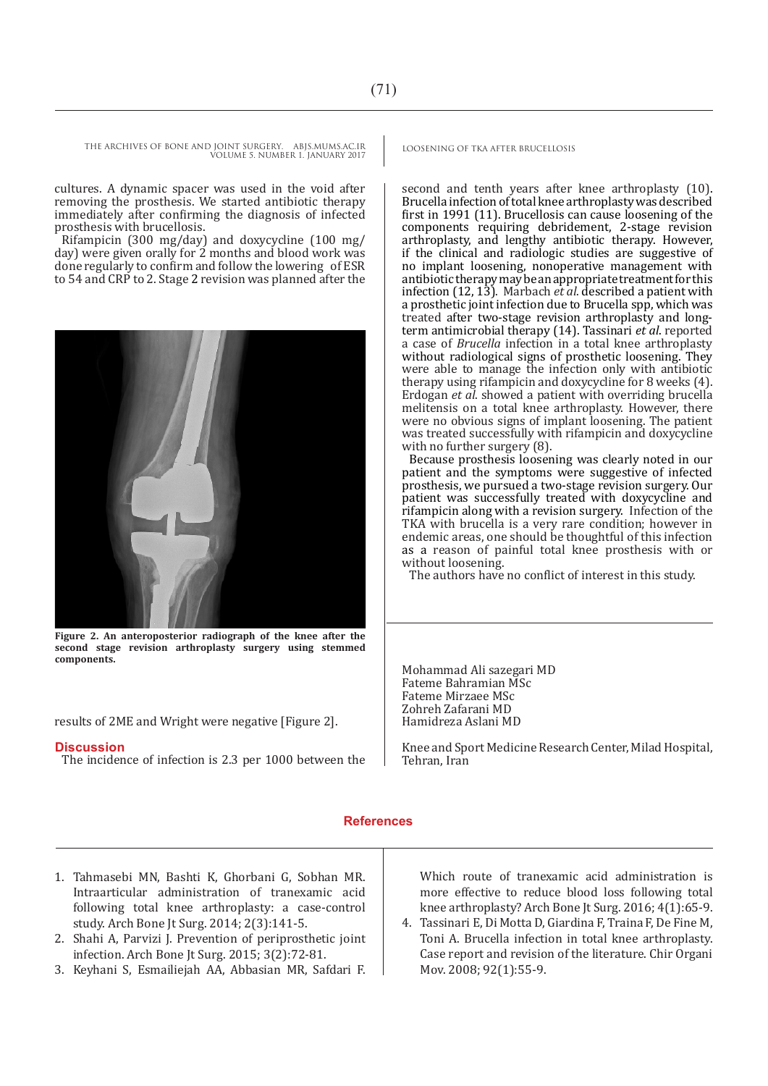THE ARCHIVES OF BONE AND JOINT SURGERY. ABJS.MUMS.AC.IR LOOSENING OF TKA AFTER BRUCELLOSIS VOLUME 5. NUMBER 1. JANUARY 2017

cultures. A dynamic spacer was used in the void after removing the prosthesis. We started antibiotic therapy immediately after confirming the diagnosis of infected prosthesis with brucellosis.

Rifampicin (300 mg/day) and doxycycline (100 mg/ day) were given orally for 2 months and blood work was done regularly to confirm and follow the lowering of ESR to 54 and CRP to 2. Stage 2 revision was planned after the



**Figure 2. An anteroposterior radiograph of the knee after the second stage revision arthroplasty surgery using stemmed components.** 

results of 2ME and Wright were negative [Figure 2].

### **Discussion**

The incidence of infection is 2.3 per 1000 between the

second and tenth years after knee arthroplasty (10). Brucella infection of total knee arthroplasty was described first in 1991 (11). Brucellosis can cause loosening of the components requiring debridement, 2-stage revision arthroplasty, and lengthy antibiotic therapy. However, if the clinical and radiologic studies are suggestive of no implant loosening, nonoperative management with antibiotic therapy may be an appropriate treatment for this infection (12, 13). Marbach *et al*. described a patient with a prosthetic joint infection due to Brucella spp, which was treated after two-stage revision arthroplasty and longterm antimicrobial therapy (14). Tassinari *et al*. reported a case of *Brucella* infection in a total knee arthroplasty without radiological signs of prosthetic loosening. They were able to manage the infection only with antibiotic therapy using rifampicin and doxycycline for 8 weeks (4). Erdogan *et al*. showed a patient with overriding brucella melitensis on a total knee arthroplasty. However, there were no obvious signs of implant loosening. The patient was treated successfully with rifampicin and doxycycline with no further surgery  $(8)$ .

Because prosthesis loosening was clearly noted in our patient and the symptoms were suggestive of infected prosthesis, we pursued a two-stage revision surgery. Our patient was successfully treated with doxycycline and rifampicin along with a revision surgery. Infection of the TKA with brucella is a very rare condition; however in endemic areas, one should be thoughtful of this infection as a reason of painful total knee prosthesis with or without loosening.

The authors have no conflict of interest in this study.

Mohammad Ali sazegari MD Fateme Bahramian MSc Fateme Mirzaee MSc Zohreh Zafarani MD Hamidreza Aslani MD

Knee and Sport Medicine Research Center, Milad Hospital, Tehran, Iran

### **References**

- 1. Tahmasebi MN, Bashti K, Ghorbani G, Sobhan MR. Intraarticular administration of tranexamic acid following total knee arthroplasty: a case-control study. Arch Bone Jt Surg. 2014; 2(3):141-5.
- 2. Shahi A, Parvizi J. Prevention of periprosthetic joint infection. Arch Bone Jt Surg. 2015; 3(2):72-81.
- 3. Keyhani S, Esmailiejah AA, Abbasian MR, Safdari F.

Which route of tranexamic acid administration is more effective to reduce blood loss following total knee arthroplasty? Arch Bone Jt Surg. 2016; 4(1):65-9.

4. Tassinari E, Di Motta D, Giardina F, Traina F, De Fine M, Toni A. Brucella infection in total knee arthroplasty. Case report and revision of the literature. Chir Organi Mov. 2008; 92(1):55-9.